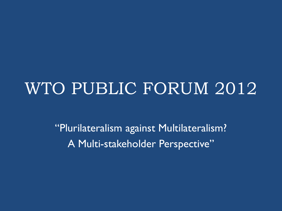### WTO PUBLIC FORUM 2012

"Plurilateralism against Multilateralism? A Multi-stakeholder Perspective"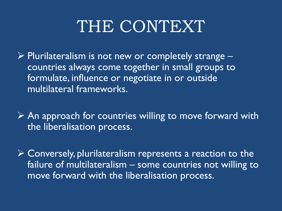## THE CONTEXT

 $\triangleright$  Plurilateralism is not new or completely strange – countries always come together in small groups to formulate, influence or negotiate in or outside multilateral frameworks.

 $\triangleright$  An approach for countries willing to move forward with the liberalisation process.

 Conversely, plurilateralism represents a reaction to the failure of multilateralism – some countries not willing to move forward with the liberalisation process.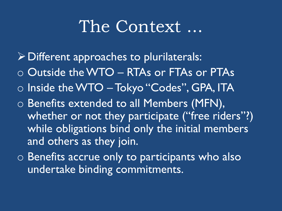#### The Context ...

- $\triangleright$  Different approaches to plurilaterals:
- o Outside the WTO RTAs or FTAs or PTAs
- o Inside the WTO Tokyo "Codes", GPA, ITA
- o Benefits extended to all Members (MFN), whether or not they participate ("free riders"?) while obligations bind only the initial members and others as they join.
- o Benefits accrue only to participants who also undertake binding commitments.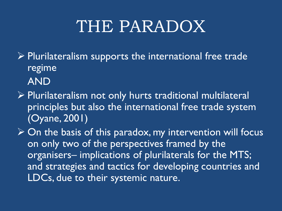# THE PARADOX

 $\triangleright$  Plurilateralism supports the international free trade regime AND

- Plurilateralism not only hurts traditional multilateral principles but also the international free trade system (Oyane, 2001)
- $\triangleright$  On the basis of this paradox, my intervention will focus on only two of the perspectives framed by the organisers– implications of plurilaterals for the MTS; and strategies and tactics for developing countries and LDCs, due to their systemic nature.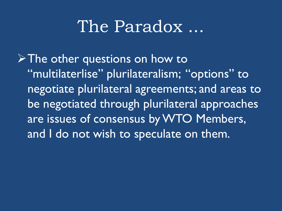#### The Paradox

 $\triangleright$  The other questions on how to "multilaterlise" plurilateralism; "options" to negotiate plurilateral agreements; and areas to be negotiated through plurilateral approaches are issues of consensus by WTO Members, and I do not wish to speculate on them.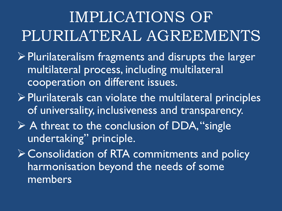## IMPLICATIONS OF PLURILATERAL AGREEMENTS

- $\triangleright$  Plurilateralism fragments and disrupts the larger multilateral process, including multilateral cooperation on different issues.
- $\triangleright$  Plurilaterals can violate the multilateral principles of universality, inclusiveness and transparency.
- $\triangleright$  A threat to the conclusion of DDA, "single" undertaking" principle.

Consolidation of RTA commitments and policy harmonisation beyond the needs of some members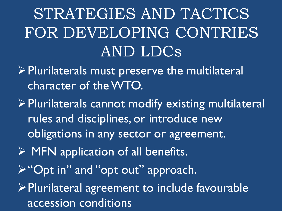# STRATEGIES AND TACTICS FOR DEVELOPING CONTRIES AND LDCs

- $\triangleright$  Plurilaterals must preserve the multilateral character of the WTO.
- Plurilaterals cannot modify existing multilateral rules and disciplines, or introduce new obligations in any sector or agreement.
- $\triangleright$  MFN application of all benefits.
- "Opt in" and "opt out" approach.
- $\triangleright$  Plurilateral agreement to include favourable accession conditions